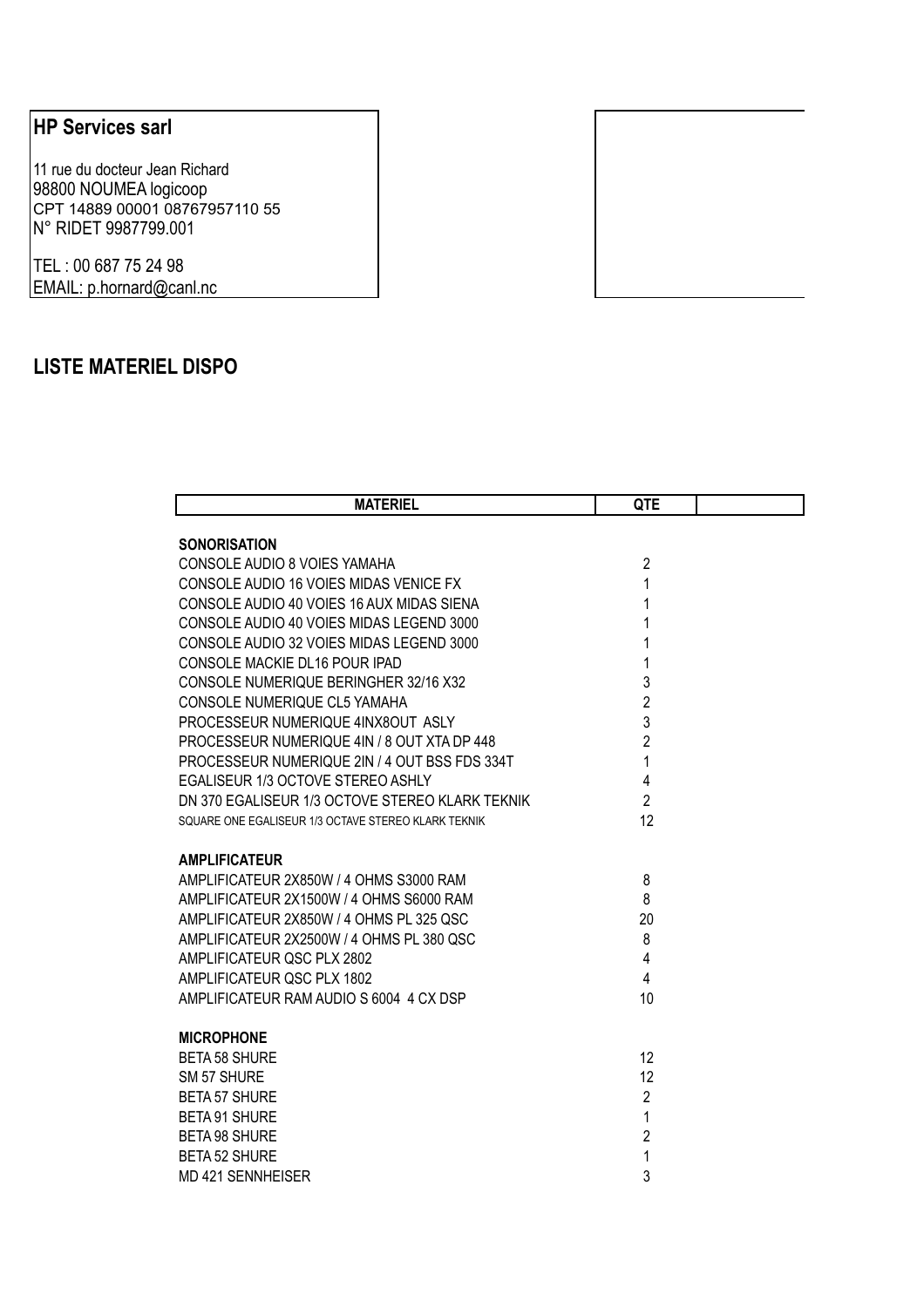## **HP Services sarl**

11 rue du docteur Jean Richard 98800 NOUMEA logicoop CPT 14889 00001 08767957110 55 N° RIDET 9987799.001

TEL : 00 687 75 24 98 EMAIL: p.hornard@canl.nc

## **LISTE MATERIEL DISPO**

| <b>MATERIEL</b>                                     | QTE            |  |
|-----------------------------------------------------|----------------|--|
| <b>SONORISATION</b>                                 |                |  |
| CONSOLE AUDIO 8 VOIES YAMAHA                        | $\overline{2}$ |  |
| CONSOLE AUDIO 16 VOIES MIDAS VENICE FX              | 1              |  |
| CONSOLE AUDIO 40 VOIES 16 AUX MIDAS SIENA           | 1              |  |
| CONSOLE AUDIO 40 VOIES MIDAS LEGEND 3000            | 1              |  |
| CONSOLE AUDIO 32 VOIES MIDAS LEGEND 3000            | 1              |  |
| CONSOLE MACKIE DL16 POUR IPAD                       | 1              |  |
| CONSOLE NUMERIQUE BERINGHER 32/16 X32               | 3              |  |
| CONSOLE NUMERIQUE CL5 YAMAHA                        | $\overline{2}$ |  |
| PROCESSEUR NUMERIQUE 4INX8OUT ASLY                  | 3              |  |
| PROCESSEUR NUMERIQUE 4IN / 8 OUT XTA DP 448         | $\overline{2}$ |  |
| PROCESSEUR NUMERIQUE 2IN / 4 OUT BSS FDS 334T       | $\mathbf{1}$   |  |
| EGALISEUR 1/3 OCTOVE STEREO ASHLY                   | $\overline{4}$ |  |
| DN 370 EGALISEUR 1/3 OCTOVE STEREO KLARK TEKNIK     | $\overline{2}$ |  |
| SQUARE ONE EGALISEUR 1/3 OCTAVE STEREO KLARK TEKNIK | 12             |  |
| <b>AMPLIFICATEUR</b>                                |                |  |
| AMPLIFICATEUR 2X850W / 4 OHMS S3000 RAM             | 8              |  |
| AMPLIFICATEUR 2X1500W / 4 OHMS S6000 RAM            | 8              |  |
| AMPLIFICATEUR 2X850W / 4 OHMS PL 325 QSC            | 20             |  |
| AMPLIFICATEUR 2X2500W / 4 OHMS PL 380 QSC           | 8              |  |
| AMPLIFICATEUR QSC PLX 2802                          | $\overline{4}$ |  |
| AMPLIFICATEUR QSC PLX 1802                          | $\overline{4}$ |  |
| AMPLIFICATEUR RAM AUDIO S 6004 4 CX DSP             | 10             |  |
| <b>MICROPHONE</b>                                   |                |  |
| <b>BETA 58 SHURE</b>                                | 12             |  |
| SM 57 SHURE                                         | 12             |  |
| <b>BETA 57 SHURE</b>                                | $\overline{2}$ |  |
| <b>BETA 91 SHURE</b>                                | 1              |  |
| <b>BETA 98 SHURE</b>                                | $\overline{2}$ |  |
| <b>BETA 52 SHURE</b>                                | $\mathbf{1}$   |  |
| <b>MD 421 SENNHEISER</b>                            | 3              |  |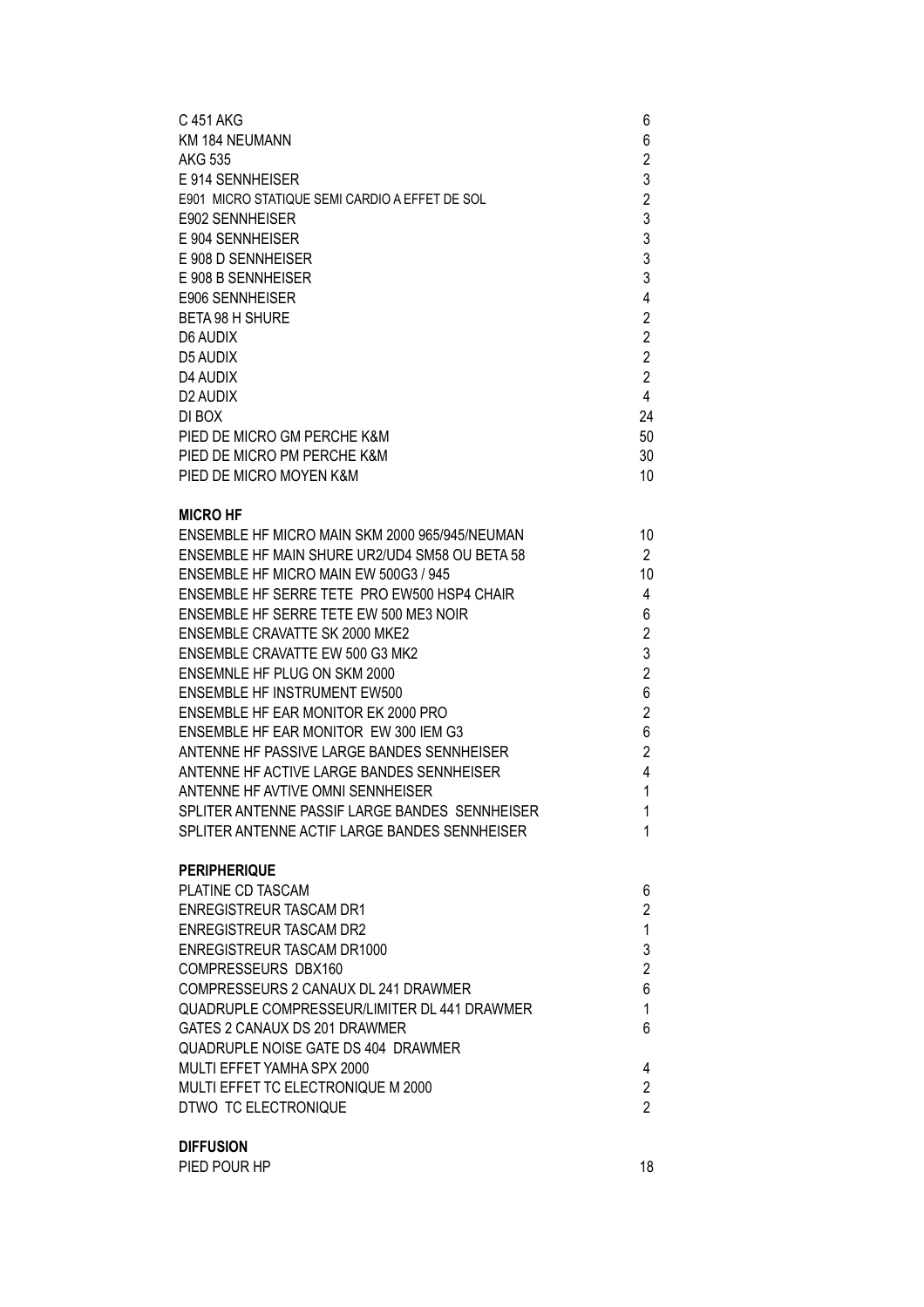| C 451 AKG<br>KM 184 NEUMANN<br><b>AKG 535</b><br>E 914 SENNHEISER<br>E901 MICRO STATIQUE SEMI CARDIO A EFFET DE SOL<br>E902 SENNHEISER<br>E 904 SENNHEISER<br>E 908 D SENNHEISER<br>E 908 B SENNHEISER<br>E906 SENNHEISER<br><b>BETA 98 H SHURE</b><br>D6 AUDIX<br><b>D5 AUDIX</b><br>D4 AUDIX<br>D <sub>2</sub> AUDIX<br>DI BOX<br>PIED DE MICRO GM PERCHE K&M<br>PIED DE MICRO PM PERCHE K&M<br>PIED DE MICRO MOYEN K&M | 6<br>6<br>$\overline{c}$<br>3<br>$\overline{2}$<br>3<br>3<br>3<br>3<br>4<br>$\overline{c}$<br>$\overline{2}$<br>$\overline{2}$<br>$\overline{2}$<br>$\overline{4}$<br>24<br>50<br>30<br>10 |
|---------------------------------------------------------------------------------------------------------------------------------------------------------------------------------------------------------------------------------------------------------------------------------------------------------------------------------------------------------------------------------------------------------------------------|--------------------------------------------------------------------------------------------------------------------------------------------------------------------------------------------|
| <b>MICRO HF</b><br>ENSEMBLE HF MICRO MAIN SKM 2000 965/945/NEUMAN                                                                                                                                                                                                                                                                                                                                                         | 10                                                                                                                                                                                         |
| ENSEMBLE HF MAIN SHURE UR2/UD4 SM58 OU BETA 58<br>ENSEMBLE HF MICRO MAIN EW 500G3 / 945                                                                                                                                                                                                                                                                                                                                   | $\overline{2}$<br>10                                                                                                                                                                       |
| ENSEMBLE HF SERRE TETE PRO EW500 HSP4 CHAIR                                                                                                                                                                                                                                                                                                                                                                               | 4                                                                                                                                                                                          |
| ENSEMBLE HF SERRE TETE EW 500 ME3 NOIR                                                                                                                                                                                                                                                                                                                                                                                    | 6                                                                                                                                                                                          |
| <b>ENSEMBLE CRAVATTE SK 2000 MKE2</b>                                                                                                                                                                                                                                                                                                                                                                                     | $\overline{c}$                                                                                                                                                                             |
| ENSEMBLE CRAVATTE EW 500 G3 MK2                                                                                                                                                                                                                                                                                                                                                                                           | 3                                                                                                                                                                                          |
| ENSEMNLE HF PLUG ON SKM 2000<br><b>ENSEMBLE HF INSTRUMENT EW500</b>                                                                                                                                                                                                                                                                                                                                                       | $\overline{2}$<br>6                                                                                                                                                                        |
| ENSEMBLE HF EAR MONITOR EK 2000 PRO                                                                                                                                                                                                                                                                                                                                                                                       | $\overline{2}$                                                                                                                                                                             |
| ENSEMBLE HF EAR MONITOR EW 300 IEM G3                                                                                                                                                                                                                                                                                                                                                                                     | 6                                                                                                                                                                                          |
| ANTENNE HF PASSIVE LARGE BANDES SENNHEISER                                                                                                                                                                                                                                                                                                                                                                                | $\overline{2}$                                                                                                                                                                             |
| ANTENNE HF ACTIVE LARGE BANDES SENNHEISER                                                                                                                                                                                                                                                                                                                                                                                 | 4                                                                                                                                                                                          |
| ANTENNE HF AVTIVE OMNI SENNHEISER<br>SPLITER ANTENNE PASSIF LARGE BANDES SENNHEISER                                                                                                                                                                                                                                                                                                                                       | 1<br>1                                                                                                                                                                                     |
| SPLITER ANTENNE ACTIF LARGE BANDES SENNHEISER                                                                                                                                                                                                                                                                                                                                                                             | 1                                                                                                                                                                                          |
| <b>PERIPHERIQUE</b>                                                                                                                                                                                                                                                                                                                                                                                                       |                                                                                                                                                                                            |
| PLATINE CD TASCAM<br><b>ENREGISTREUR TASCAM DR1</b>                                                                                                                                                                                                                                                                                                                                                                       | 6<br>$\overline{2}$                                                                                                                                                                        |
| <b>ENREGISTREUR TASCAM DR2</b>                                                                                                                                                                                                                                                                                                                                                                                            | 1                                                                                                                                                                                          |
| ENREGISTREUR TASCAM DR1000                                                                                                                                                                                                                                                                                                                                                                                                | 3                                                                                                                                                                                          |
| COMPRESSEURS DBX160                                                                                                                                                                                                                                                                                                                                                                                                       | $\overline{2}$                                                                                                                                                                             |
| COMPRESSEURS 2 CANAUX DL 241 DRAWMER<br>QUADRUPLE COMPRESSEUR/LIMITER DL 441 DRAWMER                                                                                                                                                                                                                                                                                                                                      | 6<br>1                                                                                                                                                                                     |
| GATES 2 CANAUX DS 201 DRAWMER                                                                                                                                                                                                                                                                                                                                                                                             | 6                                                                                                                                                                                          |
| QUADRUPLE NOISE GATE DS 404 DRAWMER                                                                                                                                                                                                                                                                                                                                                                                       |                                                                                                                                                                                            |
| MULTI EFFET YAMHA SPX 2000                                                                                                                                                                                                                                                                                                                                                                                                | 4                                                                                                                                                                                          |
| MULTI EFFET TC ELECTRONIQUE M 2000<br>DTWO TC ELECTRONIQUE                                                                                                                                                                                                                                                                                                                                                                | 2<br>$\overline{2}$                                                                                                                                                                        |
|                                                                                                                                                                                                                                                                                                                                                                                                                           |                                                                                                                                                                                            |
| <b>DIFFUSION</b>                                                                                                                                                                                                                                                                                                                                                                                                          |                                                                                                                                                                                            |

PIED POUR HP 18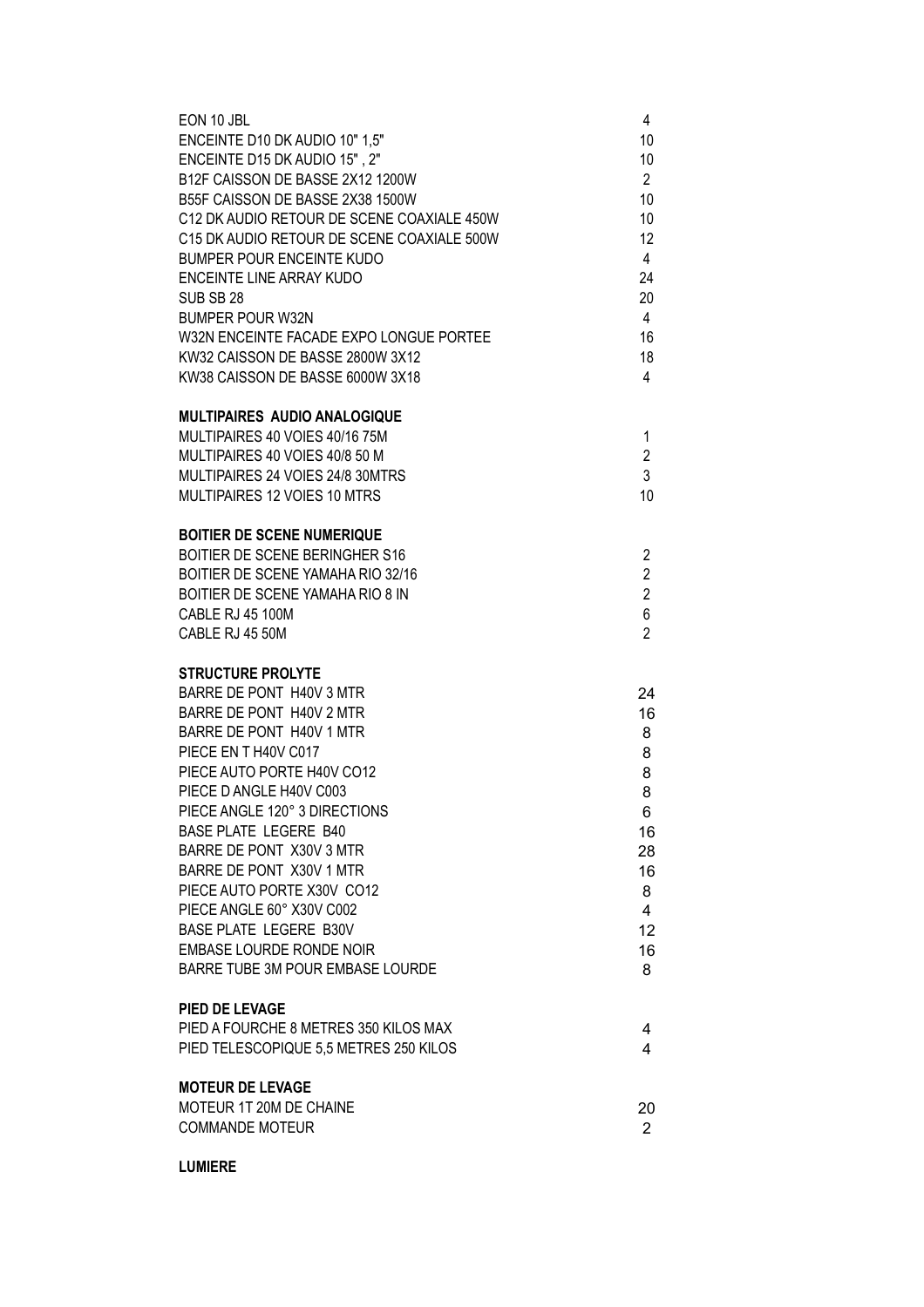| EON 10 JBL<br>ENCEINTE D10 DK AUDIO 10" 1,5"<br>ENCEINTE D15 DK AUDIO 15", 2"<br>B12F CAISSON DE BASSE 2X12 1200W<br>B55F CAISSON DE BASSE 2X38 1500W<br>C12 DK AUDIO RETOUR DE SCENE COAXIALE 450W<br>C15 DK AUDIO RETOUR DE SCENE COAXIALE 500W<br><b>BUMPER POUR ENCEINTE KUDO</b><br><b>ENCEINTE LINE ARRAY KUDO</b><br>SUB SB 28<br><b>BUMPER POUR W32N</b><br>W32N ENCEINTE FACADE EXPO LONGUE PORTEE<br>KW32 CAISSON DE BASSE 2800W 3X12                                    | 4<br>10<br>10<br>$\overline{2}$<br>10<br>10<br>12<br>4<br>24<br>20<br>$\overline{4}$<br>16<br>18 |
|------------------------------------------------------------------------------------------------------------------------------------------------------------------------------------------------------------------------------------------------------------------------------------------------------------------------------------------------------------------------------------------------------------------------------------------------------------------------------------|--------------------------------------------------------------------------------------------------|
| KW38 CAISSON DE BASSE 6000W 3X18                                                                                                                                                                                                                                                                                                                                                                                                                                                   | 4                                                                                                |
| <b>MULTIPAIRES AUDIO ANALOGIQUE</b><br>MULTIPAIRES 40 VOIES 40/16 75M<br>MULTIPAIRES 40 VOIES 40/8 50 M<br>MULTIPAIRES 24 VOIES 24/8 30MTRS<br>MULTIPAIRES 12 VOIES 10 MTRS                                                                                                                                                                                                                                                                                                        | 1<br>$\overline{2}$<br>3<br>10                                                                   |
| <b>BOITIER DE SCENE NUMERIQUE</b><br><b>BOITIER DE SCENE BERINGHER S16</b><br>BOITIER DE SCENE YAMAHA RIO 32/16<br>BOITIER DE SCENE YAMAHA RIO 8 IN<br><b>CABLE RJ 45 100M</b><br>CABLE RJ 45 50M                                                                                                                                                                                                                                                                                  | 2<br>$\overline{2}$<br>$\overline{2}$<br>6<br>$\overline{2}$                                     |
| <b>STRUCTURE PROLYTE</b><br>BARRE DE PONT H40V 3 MTR<br>BARRE DE PONT H40V 2 MTR<br>BARRE DE PONT H40V 1 MTR<br>PIECE EN T H40V C017<br>PIECE AUTO PORTE H40V CO12<br>PIECE D ANGLE H40V C003<br>PIECE ANGLE 120° 3 DIRECTIONS<br><b>BASE PLATE LEGERE B40</b><br>BARRE DE PONT X30V 3 MTR<br>BARRE DE PONT X30V 1 MTR<br>PIECE AUTO PORTE X30V CO12<br>PIECE ANGLE 60° X30V C002<br><b>BASE PLATE LEGERE B30V</b><br>EMBASE LOURDE RONDE NOIR<br>BARRE TUBE 3M POUR EMBASE LOURDE | 24<br>16<br>8<br>8<br>8<br>8<br>6<br>16<br>28<br>16<br>8<br>$\overline{4}$<br>12<br>16<br>8      |
| <b>PIED DE LEVAGE</b><br>PIED A FOURCHE 8 METRES 350 KILOS MAX<br>PIED TELESCOPIQUE 5,5 METRES 250 KILOS                                                                                                                                                                                                                                                                                                                                                                           | 4<br>4                                                                                           |
| <b>MOTEUR DE LEVAGE</b><br>MOTEUR 1T 20M DE CHAINE<br><b>COMMANDE MOTEUR</b>                                                                                                                                                                                                                                                                                                                                                                                                       | 20<br>$\overline{2}$                                                                             |

## **LUMIERE**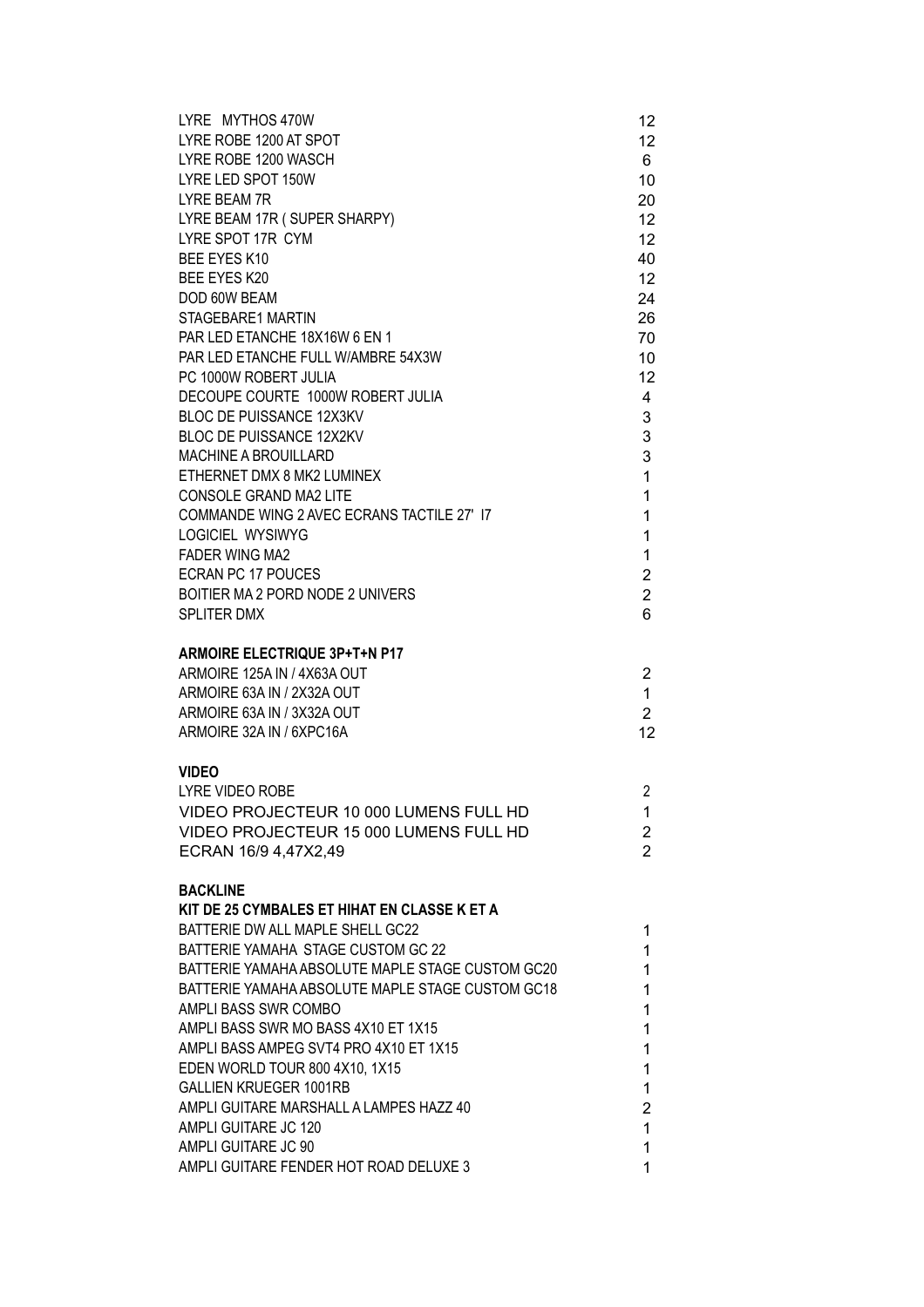| LYRE MYTHOS 470W<br>LYRE ROBE 1200 AT SPOT       | 12<br>12 <sup>2</sup> |
|--------------------------------------------------|-----------------------|
| LYRE ROBE 1200 WASCH                             | 6                     |
| LYRE LED SPOT 150W                               | 10                    |
| <b>LYRE BEAM 7R</b>                              | 20                    |
| LYRE BEAM 17R (SUPER SHARPY)                     | 12                    |
| LYRE SPOT 17R CYM                                | 12 <sup>2</sup>       |
| BEE EYES K10                                     | 40                    |
| BEE EYES K20                                     | 12                    |
| DOD 60W BEAM                                     | 24                    |
| STAGEBARE1 MARTIN                                | 26                    |
| PAR LED ETANCHE 18X16W 6 EN 1                    | 70                    |
| PAR LED ETANCHE FULL W/AMBRE 54X3W               | 10                    |
| PC 1000W ROBERT JULIA                            | 12                    |
| DECOUPE COURTE 1000W ROBERT JULIA                | 4                     |
| <b>BLOC DE PUISSANCE 12X3KV</b>                  | 3                     |
| <b>BLOC DE PUISSANCE 12X2KV</b>                  | 3                     |
| <b>MACHINE A BROUILLARD</b>                      | 3                     |
| ETHERNET DMX 8 MK2 LUMINEX                       | $\mathbf{1}$          |
| CONSOLE GRAND MA2 LITE                           | 1                     |
| COMMANDE WING 2 AVEC ECRANS TACTILE 27' 17       | 1                     |
| <b>LOGICIEL WYSIWYG</b>                          | 1                     |
| <b>FADER WING MA2</b>                            | $\mathbf{1}$          |
| <b>ECRAN PC 17 POUCES</b>                        | $\overline{2}$        |
| BOITIER MA 2 PORD NODE 2 UNIVERS                 | $\overline{2}$        |
| SPLITER DMX                                      | 6                     |
| <b>ARMOIRE ELECTRIQUE 3P+T+N P17</b>             |                       |
| ARMOIRE 125A IN / 4X63A OUT                      | 2                     |
| ARMOIRE 63A IN / 2X32A OUT                       | 1                     |
| ARMOIRE 63A IN / 3X32A OUT                       | $\overline{2}$        |
| ARMOIRE 32A IN / 6XPC16A                         | 12                    |
|                                                  |                       |
| <b>VIDEO</b>                                     |                       |
| <b>LYRE VIDEO ROBE</b>                           | 2                     |
| VIDEO PROJECTEUR 10 000 LUMENS FULL HD           | 1                     |
| VIDEO PROJECTEUR 15 000 LUMENS FULL HD           | 2                     |
| ECRAN 16/9 4,47X2,49                             | $\overline{2}$        |
| <b>BACKLINE</b>                                  |                       |
| KIT DE 25 CYMBALES ET HIHAT EN CLASSE K ET A     |                       |
| BATTERIE DW ALL MAPLE SHELL GC22                 | 1                     |
| BATTERIE YAMAHA STAGE CUSTOM GC 22               | 1                     |
| BATTERIE YAMAHA ABSOLUTE MAPLE STAGE CUSTOM GC20 | 1                     |
| BATTERIE YAMAHA ABSOLUTE MAPLE STAGE CUSTOM GC18 | 1                     |
| AMPLI BASS SWR COMBO                             | 1                     |
| AMPLI BASS SWR MO BASS 4X10 ET 1X15              | 1                     |
| AMPLI BASS AMPEG SVT4 PRO 4X10 ET 1X15           | 1                     |
| EDEN WORLD TOUR 800 4X10, 1X15                   | 1                     |
| <b>GALLIEN KRUEGER 1001RB</b>                    | $\mathbf{1}$          |
| AMPLI GUITARE MARSHALL A LAMPES HAZZ 40          | 2                     |
| AMPLI GUITARE JC 120                             | $\mathbf{1}$          |
| AMPLI GUITARE JC 90                              | 1                     |
| AMPLI GUITARE FENDER HOT ROAD DELUXE 3           | 1                     |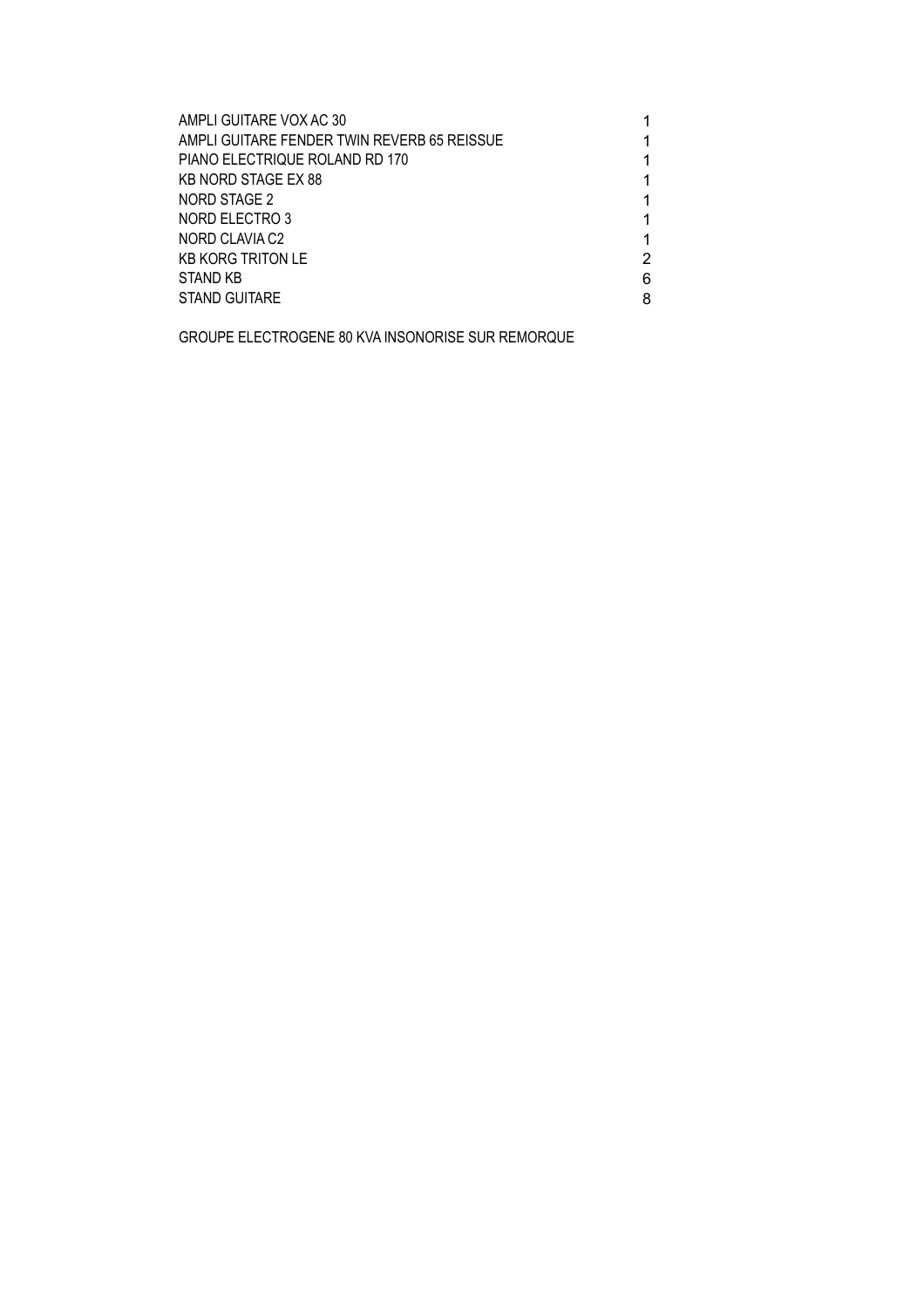| AMPLI GUITARE VOX AC 30                     |   |
|---------------------------------------------|---|
| AMPLI GUITARE FENDER TWIN REVERB 65 REISSUE |   |
| PIANO ELECTRIQUE ROLAND RD 170              |   |
| <b>KB NORD STAGE EX 88</b>                  |   |
| NORD STAGE 2                                |   |
| NORD ELECTRO 3                              | 1 |
| NORD CLAVIA C2                              | 1 |
| <b>KB KORG TRITON LE</b>                    | 2 |
| <b>STAND KB</b>                             | 6 |
| STAND GUITARE                               | 8 |

GROUPE ELECTROGENE 80 KVA INSONORISE SUR REMORQUE